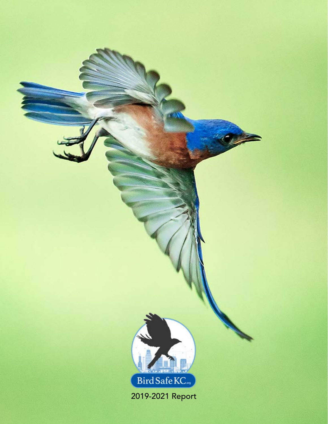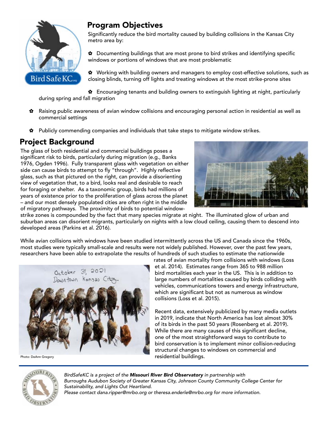

#### Program Objectives

Significantly reduce the bird mortality caused by building collisions in the Kansas City metro area by:

✿ Documenting buildings that are most prone to bird strikes and identifying specific windows or portions of windows that are most problematic

✿ Working with building owners and managers to employ cost-effective solutions, such as closing blinds, turning off lights and treating windows at the most strike-prone sites

✿ Encouraging tenants and building owners to extinguish lighting at night, particularly during spring and fall migration

- ✿ Raising public awareness of avian window collisions and encouraging personal action in residential as well as commercial settings
- ✿ Publicly commending companies and individuals that take steps to mitigate window strikes.

### Project Background

The glass of both residential and commercial buildings poses a significant risk to birds, particularly during migration (e.g., Banks 1976, Ogden 1996). Fully transparent glass with vegetation on either side can cause birds to attempt to fly "through". Highly reflective glass, such as that pictured on the right, can provide a disorienting view of vegetation that, to a bird, looks real and desirable to reach for foraging or shelter. As a taxonomic group, birds had millions of years of existence prior to the proliferation of glass across the planet – and our most densely populated cities are often right in the middle of migratory pathways. The proximity of birds to potential window-



strike zones is compounded by the fact that many species migrate at night. The illuminated glow of urban and suburban areas can disorient migrants, particularly on nights with a low cloud ceiling, causing them to descend into developed areas (Parkins et al. 2016).

While avian collisions with windows have been studied intermittently across the US and Canada since the 1960s, most studies were typically small-scale and results were not widely published. However, over the past few years, researchers have been able to extrapolate the results of hundreds of such studies to estimate the nationwide



Photo: DeAnn Gregory

rates of avian mortality from collisions with windows (Loss et al. 2014). Estimates range from 365 to 988 million bird mortalities each year in the US. This is in addition to large numbers of mortalities caused by birds colliding with vehicles, communications towers and energy infrastructure, which are significant but not as numerous as window collisions (Loss et al. 2015).

Recent data, extensively publicized by many media outlets in 2019, indicate that North America has lost almost 30% of its birds in the past 50 years (Rosenberg et al. 2019). While there are many causes of this significant decline, one of the most straightforward ways to contribute to bird conservation is to implement minor collision-reducing structural changes to windows on commercial and residential buildings.



*BirdSafeKC is a project of the Missouri River Bird Observatory in partnership with Burroughs Audubon Society of Greater Kansas City, Johnson County Community College Center for Sustainability, and Lights Out Heartland. Please contact dana.ripper@mrbo.org or theresa.enderle@mrbo.org for more information.*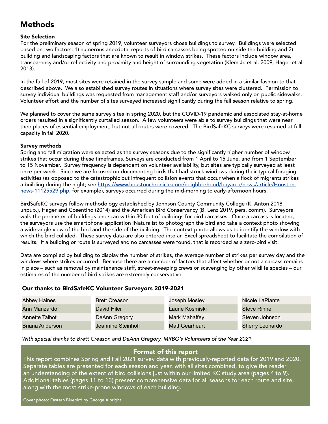### Methods

#### Site Selection

For the preliminary season of spring 2019, volunteer surveyors chose buildings to survey. Buildings were selected based on two factors: 1) numerous anecdotal reports of bird carcasses being spotted outside the building and 2) building and landscaping factors that are known to result in window strikes. These factors include window area, transparency and/or reflectivity and proximity and height of surrounding vegetation (Klem Jr. et al. 2009; Hager et al. 2013).

In the fall of 2019, most sites were retained in the survey sample and some were added in a similar fashion to that described above. We also established survey routes in situations where survey sites were clustered. Permission to survey individual buildings was requested from management staff and/or surveyors walked only on public sidewalks. Volunteer effort and the number of sites surveyed increased significantly during the fall season relative to spring.

We planned to cover the same survey sites in spring 2020, but the COVID-19 pandemic and associated stay-at-home orders resulted in a significantly curtailed season. A few volunteers were able to survey buildings that were near their places of essential employment, but not all routes were covered. The BirdSafeKC surveys were resumed at full capacity in fall 2020.

#### Survey methods

Spring and fall migration were selected as the survey seasons due to the significantly higher number of window strikes that occur during these timeframes. Surveys are conducted from 1 April to 15 June, and from 1 September to 15 November. Survey frequency is dependent on volunteer availability, but sites are typically surveyed at least once per week. Since we are focused on documenting birds that had struck windows during their typical foraging activities (as opposed to the catastrophic but infrequent collision events that occur when a flock of migrants strikes a building during the night; see [https://www.houstonchronicle.com/neighborhood/bayarea/news/article/Houston](https://www.houstonchronicle.com/neighborhood/bayarea/news/article/Houston-news-11125529.php)[news-11125529.php](https://www.houstonchronicle.com/neighborhood/bayarea/news/article/Houston-news-11125529.php), for example), surveys occurred during the mid-morning to early-afternoon hours.

BirdSafeKC surveys follow methodology established by Johnson County Community College (K. Anton 2018, unpub.), Hager and Cosentino (2014) and the American Bird Conservancy (B. Lenz 2019, pers. comm). Surveyors walk the perimeter of buildings and scan within 30 feet of buildings for bird carcasses. Once a carcass is located, the surveyors use the smartphone application iNaturalist to photograph the bird and take a context photo showing a wide-angle view of the bird and the side of the building. The context photo allows us to identify the window with which the bird collided. These survey data are also entered into an Excel spreadsheet to facilitate the compilation of results. If a building or route is surveyed and no carcasses were found, that is recorded as a zero-bird visit.

Data are compiled by building to display the number of strikes, the average number of strikes per survey day and the windows where strikes occurred. Because there are a number of factors that affect whether or not a carcass remains in place – such as removal by maintenance staff, street-sweeping crews or scavenging by other wildlife species – our estimates of the number of bird strikes are extremely conservative.

#### Our thanks to BirdSafeKC Volunteer Surveyors 2019-2021

| <b>Abbey Haines</b> | <b>Brett Creason</b> | Joseph Mosley         | Nicole LaPlante        |
|---------------------|----------------------|-----------------------|------------------------|
| Ann Manzardo        | David Hiler          | Laurie Kosmiski       | <b>Steve Rinne</b>     |
| Annette Talbot      | DeAnn Gregory        | Mark Mahaffey         | Steven Johnson         |
| Briana Anderson     | Jeannine Steinhoff   | <b>Matt Gearheart</b> | <b>Sherry Leonardo</b> |

*With special thanks to Brett Creason and DeAnn Gregory, MRBO's Volunteers of the Year 2021.* 

#### Format of this report

This report combines Spring and Fall 2021 survey data with previously-reported data for 2019 and 2020. Separate tables are presented for each season and year, with all sites combined, to give the reader an understanding of the extent of bird collisions just within our limited KC study area (pages 4 to 9). Additional tables (pages 11 to 13) present comprehensive data for all seasons for each route and site, along with the most strike-prone windows of each building.

Cover photo: Eastern Bluebird by George Albright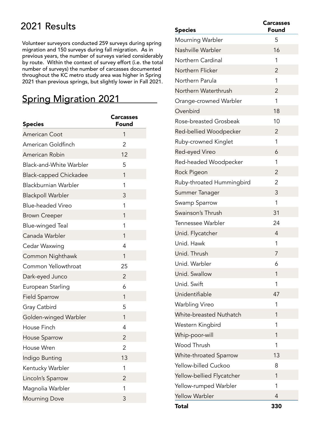## 2021 Results

Volunteer surveyors conducted 259 surveys during spring migration and 150 surveys during fall migration. As in previous years, the number of surveys varied considerably by route. Within the context of survey effort (i.e. the total number of surveys) the number of carcasses documented throughout the KC metro study area was higher in Spring 2021 than previous springs, but slightly lower in Fall 2021.

## Spring Migration 2021

| <b>Species</b>                 | <b>Carcasses</b><br>Found |
|--------------------------------|---------------------------|
| <b>American Coot</b>           | 1                         |
| American Goldfinch             | 2                         |
| American Robin                 | 12                        |
| <b>Black-and-White Warbler</b> | 5                         |
| <b>Black-capped Chickadee</b>  | 1                         |
| <b>Blackburnian Warbler</b>    | 1                         |
| <b>Blackpoll Warbler</b>       | 3                         |
| <b>Blue-headed Vireo</b>       | 1                         |
| <b>Brown Creeper</b>           | 1                         |
| Blue-winged Teal               | 1                         |
| Canada Warbler                 | 1                         |
| Cedar Waxwing                  | 4                         |
| Common Nighthawk               | 1                         |
| Common Yellowthroat            | 25                        |
| Dark-eyed Junco                | $\overline{2}$            |
| European Starling              | 6                         |
| <b>Field Sparrow</b>           | 1                         |
| Gray Catbird                   | 5                         |
| Golden-winged Warbler          | 1                         |
| House Finch                    | 4                         |
| House Sparrow                  | $\overline{2}$            |
| House Wren                     | 2                         |
| Indigo Bunting                 | 13                        |
| Kentucky Warbler               | 1                         |
| Lincoln's Sparrow              | 2                         |
| Magnolia Warbler               | 1                         |
| <b>Mourning Dove</b>           | 3                         |

| <b>Species</b>            | <b>Carcasses</b><br>Found |
|---------------------------|---------------------------|
| Mourning Warbler          | 5                         |
| Nashville Warbler         | 16                        |
| Northern Cardinal         | 1                         |
| Northern Flicker          | $\overline{2}$            |
| Northern Parula           | 1                         |
| Northern Waterthrush      | 2                         |
| Orange-crowned Warbler    | 1                         |
| Ovenbird                  | 18                        |
| Rose-breasted Grosbeak    | 10                        |
| Red-bellied Woodpecker    | 2                         |
| Ruby-crowned Kinglet      | 1                         |
| Red-eyed Vireo            | 6                         |
| Red-headed Woodpecker     | 1                         |
| Rock Pigeon               | 2                         |
| Ruby-throated Hummingbird | 2                         |
| Summer Tanager            | 3                         |
| Swamp Sparrow             | 1                         |
| Swainson's Thrush         | 31                        |
| Tennessee Warbler         | 24                        |
| Unid. Flycatcher          | 4                         |
| Unid. Hawk                | 1                         |
| Unid. Thrush              | 7                         |
| Unid. Warbler             | 6                         |
| Unid. Swallow             | 1                         |
| Unid. Swift               | 1                         |
| Unidentifiable            | 47                        |
| Warbling Vireo            | 1                         |
| White-breasted Nuthatch   | 1                         |
| Western Kingbird          | 1                         |
| Whip-poor-will            | 1                         |
| Wood Thrush               | 1                         |
| White-throated Sparrow    | 13                        |
| Yellow-billed Cuckoo      | 8                         |
| Yellow-bellied Flycatcher | 1                         |
| Yellow-rumped Warbler     | 1                         |
| Yellow Warbler            | 4                         |
| Total                     | 330                       |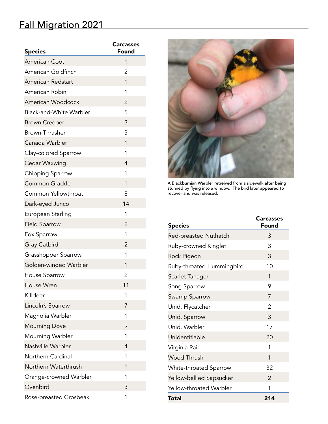## Fall Migration 2021

| <b>Species</b>                 | <b>Carcasses</b><br>Found |
|--------------------------------|---------------------------|
| <b>American Coot</b>           | 1                         |
| American Goldfinch             | 2                         |
| American Redstart              | 1                         |
| American Robin                 | 1                         |
| American Woodcock              | 2                         |
| <b>Black-and-White Warbler</b> | 5                         |
| <b>Brown Creeper</b>           | 3                         |
| Brown Thrasher                 | 3                         |
| Canada Warbler                 | 1                         |
| Clay-colored Sparrow           | 1                         |
| Cedar Waxwing                  | $\overline{4}$            |
| Chipping Sparrow               | 1                         |
| Common Grackle                 | 1                         |
| Common Yellowthroat            | 8                         |
| Dark-eyed Junco                | 14                        |
| European Starling              | 1                         |
| <b>Field Sparrow</b>           | 2                         |
| Fox Sparrow                    | 1                         |
| Gray Catbird                   | 2                         |
| Grasshopper Sparrow            | 1                         |
| Golden-winged Warbler          | 1                         |
| <b>House Sparrow</b>           | 2                         |
| House Wren                     | 11                        |
| Killdeer                       | 1                         |
| Lincoln's Sparrow              | 7                         |
| Magnolia Warbler               | 1                         |
| <b>Mourning Dove</b>           | 9                         |
| Mourning Warbler               | 1                         |
| Nashville Warbler              | 4                         |
| Northern Cardinal              | 1                         |
| Northern Waterthrush           | 1                         |
| Orange-crowned Warbler         | 1                         |
| Ovenbird                       | 3                         |
| Rose-breasted Grosbeak         | 1                         |



A Blackburnian Warbler retreived from a sidewalk after being stunned by flying into a window. The bird later appeared to recover and was released.

| <b>Species</b>               | <b>Carcasses</b><br>Found |
|------------------------------|---------------------------|
| <b>Red-breasted Nuthatch</b> | 3                         |
| Ruby-crowned Kinglet         | 3                         |
| Rock Pigeon                  | 3                         |
| Ruby-throated Hummingbird    | 10                        |
| Scarlet Tanager              | 1                         |
| Song Sparrow                 | 9                         |
| Swamp Sparrow                | 7                         |
| Unid. Flycatcher             | $\mathcal{P}$             |
| Unid. Sparrow                | 3                         |
| Unid. Warbler                | 17                        |
| Unidentifiable               | 20                        |
| Virginia Rail                | 1                         |
| <b>Wood Thrush</b>           | 1                         |
| White-throated Sparrow       | 32                        |
| Yellow-bellied Sapsucker     | 2                         |
| Yellow-throated Warbler      | 1                         |
| Total                        | 214                       |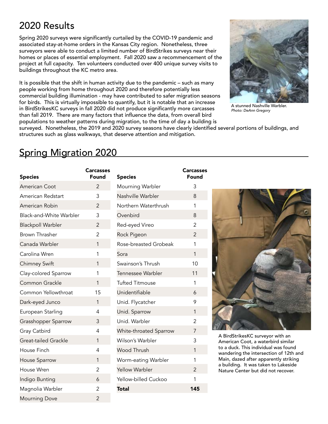## 2020 Results

Spring 2020 surveys were significantly curtailed by the COVID-19 pandemic and associated stay-at-home orders in the Kansas City region. Nonetheless, three surveyors were able to conduct a limited number of BirdStrikes surveys near their homes or places of essential employment. Fall 2020 saw a recommencement of the project at full capacity. Ten volunteers conducted over 400 unique survey visits to buildings throughout the KC metro area.

It is possible that the shift in human activity due to the pandemic – such as many people working from home throughout 2020 and therefore potentially less commercial building illumination - may have contributed to safer migration seasons for birds. This is virtually impossible to quantify, but it is notable that an increase in BirdStrikesKC surveys in fall 2020 did not produce significantly more carcasses than fall 2019. There are many factors that influence the data, from overall bird populations to weather patterns during migration, to the time of day a building is



A stunned Nashville Warbler. *Photo: DeAnn Gregory*

surveyed. Nonetheless, the 2019 and 2020 survey seasons have clearly identified several portions of buildings, and structures such as glass walkways, that deserve attention and mitigation.

## Spring Migration 2020

| <b>Species</b>              | <b>Carcasses</b><br>Found |
|-----------------------------|---------------------------|
| American Coot               | $\overline{2}$            |
| American Redstart           | 3                         |
| American Robin              | $\overline{2}$            |
| Black-and-White Warbler     | 3                         |
| <b>Blackpoll Warbler</b>    | $\overline{2}$            |
| <b>Brown Thrasher</b>       | $\overline{2}$            |
| Canada Warbler              | $\overline{1}$            |
| Carolina Wren               | 1                         |
| <b>Chimney Swift</b>        | 1                         |
| Clay-colored Sparrow        | 1                         |
| Common Grackle              | 1                         |
| Common Yellowthroat         | 15                        |
| Dark-eyed Junco             | 1                         |
| European Starling           | $\overline{4}$            |
| Grasshopper Sparrow         | 3                         |
| Gray Catbird                | 4                         |
| <b>Great-tailed Grackle</b> | $\mathbf{1}$              |
| House Finch                 | 4                         |
| House Sparrow               | 1                         |
| House Wren                  | $\overline{2}$            |
| Indigo Bunting              | 6                         |
| Magnolia Warbler            | $\overline{c}$            |
| <b>Mourning Dove</b>        | $\overline{2}$            |

| <b>Species</b>         | <b>Carcasses</b><br>Found |
|------------------------|---------------------------|
| Mourning Warbler       | 3                         |
| Nashville Warbler      | 8                         |
| Northern Waterthrush   | 1                         |
| Ovenbird               | 8                         |
| Red-eyed Vireo         | $\overline{2}$            |
| Rock Pigeon            | $\overline{2}$            |
| Rose-breasted Grobeak  | 1                         |
| Sora                   | 1                         |
| Swainson's Thrush      | 10                        |
| Tennessee Warbler      | 11                        |
| <b>Tufted Titmouse</b> | 1                         |
| Unidentifiable         | 6                         |
| Unid. Flycatcher       | 9                         |
| Unid. Sparrow          | 1                         |
| Unid. Warbler          | $\overline{2}$            |
| White-throated Sparrow | 7                         |
| Wilson's Warbler       | 3                         |
| <b>Wood Thrush</b>     | 1                         |
| Worm-eating Warbler    | 1                         |
| <b>Yellow Warbler</b>  | 2                         |
| Yellow-billed Cuckoo   | 1                         |
| Total                  | 145                       |



A BirdStrikesKC surveyor with an American Coot, a waterbird similar to a duck. This individual was found wandering the intersection of 12th and Main, dazed after apparently striking a building. It was taken to Lakeside Nature Center but did not recover.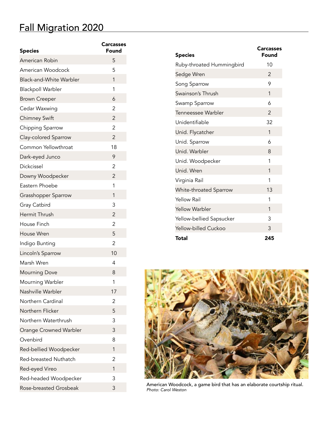# Fall Migration 2020

| <b>Species</b>                 | Carcasses<br>Found |
|--------------------------------|--------------------|
| American Robin                 | 5                  |
| American Woodcock              | 5                  |
| <b>Black-and-White Warbler</b> | 1                  |
| <b>Blackpoll Warbler</b>       | 1                  |
| <b>Brown Creeper</b>           | 6                  |
| Cedar Waxwing                  | 2                  |
| <b>Chimney Swift</b>           | $\overline{2}$     |
| Chipping Sparrow               | $\overline{2}$     |
| Clay-colored Sparrow           | $\overline{2}$     |
| Common Yellowthroat            | 18                 |
| Dark-eyed Junco                | 9                  |
| Dickcissel                     | 2                  |
| Downy Woodpecker               | $\overline{2}$     |
| Eastern Phoebe                 | 1                  |
| Grasshopper Sparrow            | 1                  |
| Gray Catbird                   | 3                  |
| Hermit Thrush                  | $\overline{2}$     |
| House Finch                    | 2                  |
| House Wren                     | 5                  |
| Indigo Bunting                 | 2                  |
| Lincoln's Sparrow              | 10                 |
| Marsh Wren                     | 4                  |
| <b>Mourning Dove</b>           | 8                  |
| Mourning Warbler               | 1                  |
| Nashville Warbler              | 17                 |
| Northern Cardinal              | 2                  |
| Northern Flicker               | 5                  |
| Northern Waterthrush           | 3                  |
| Orange Crowned Warbler         | 3                  |
| Ovenbird                       | 8                  |
| Red-bellied Woodpecker         | 1                  |
| Red-breasted Nuthatch          | 2                  |
| Red-eyed Vireo                 | 1                  |
| Red-headed Woodpecker          | 3                  |
| Rose-breasted Grosbeak         | 3                  |

| <b>Species</b>              | <b>Carcasses</b><br>Found |
|-----------------------------|---------------------------|
| Ruby-throated Hummingbird   | 10                        |
| Sedge Wren                  | 2                         |
| Song Sparrow                | 9                         |
| Swainson's Thrush           | 1                         |
| Swamp Sparrow               | 6                         |
| Tenneessee Warbler          | $\mathcal{P}$             |
| Unidentifiable              | 32                        |
| Unid. Flycatcher            | 1                         |
| Unid. Sparrow               | 6                         |
| Unid. Warbler               | 8                         |
| Unid. Woodpecker            | 1                         |
| Unid. Wren                  | 1                         |
| Virginia Rail               | 1                         |
| White-throated Sparrow      | 13                        |
| <b>Yellow Rail</b>          | 1                         |
| <b>Yellow Warbler</b>       | 1                         |
| Yellow-bellied Sapsucker    | 3                         |
| <b>Yellow-billed Cuckoo</b> | 3                         |
| Total                       | 245                       |



American Woodcock, a game bird that has an elaborate courtship ritual. *Photo: Carol Weston*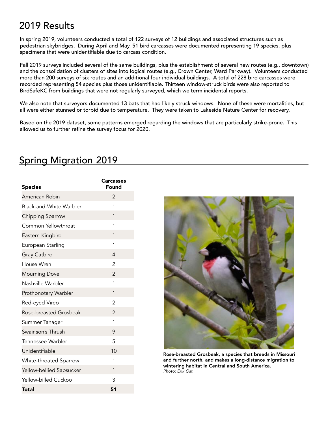## 2019 Results

In spring 2019, volunteers conducted a total of 122 surveys of 12 buildings and associated structures such as pedestrian skybridges. During April and May, 51 bird carcasses were documented representing 19 species, plus specimens that were unidentifiable due to carcass condition.

Fall 2019 surveys included several of the same buildings, plus the establishment of several new routes (e.g., downtown) and the consolidation of clusters of sites into logical routes (e.g., Crown Center, Ward Parkway). Volunteers conducted more than 200 surveys of six routes and an additional four individual buildings. A total of 228 bird carcasses were recorded representing 54 species plus those unidentifiable. Thirteen window-struck birds were also reported to BirdSafeKC from buildings that were not regularly surveyed, which we term incidental reports.

We also note that surveyors documented 13 bats that had likely struck windows. None of these were mortalities, but all were either stunned or torpid due to temperature. They were taken to Lakeside Nature Center for recovery.

Based on the 2019 dataset, some patterns emerged regarding the windows that are particularly strike-prone. This allowed us to further refine the survey focus for 2020.

### Spring Migration 2019

| <b>Species</b>           | <b>Carcasses</b><br>Found |
|--------------------------|---------------------------|
| American Robin           | 2                         |
| Black-and-White Warbler  | 1                         |
| Chipping Sparrow         | 1                         |
| Common Yellowthroat      | 1                         |
| Eastern Kingbird         | 1                         |
| European Starling        | 1                         |
| Gray Catbird             | $\overline{4}$            |
| House Wren               | 2                         |
| <b>Mourning Dove</b>     | $\overline{2}$            |
| Nashville Warbler        | 1                         |
| Prothonotary Warbler     | 1                         |
| Red-eyed Vireo           | 2                         |
| Rose-breasted Grosbeak   | $\overline{2}$            |
| Summer Tanager           | 1                         |
| Swainson's Thrush        | 9                         |
| Tennessee Warbler        | 5                         |
| Unidentifiable           | 10                        |
| White-throated Sparrow   | 1                         |
| Yellow-bellied Sapsucker | 1                         |
| Yellow-billed Cuckoo     | 3                         |
| Total                    | 51                        |



Rose-breasted Grosbeak, a species that breeds in Missouri and further north, and makes a long-distance migration to wintering habitat in Central and South America. *Photo: Erik Ost*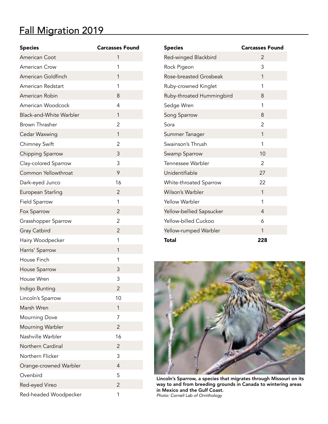# Fall Migration 2019

| <b>Species</b>                 | <b>Carcasses Found</b> |
|--------------------------------|------------------------|
| American Coot                  | 1                      |
| <b>American Crow</b>           | 1                      |
| American Goldfinch             | 1                      |
| American Redstart              | 1                      |
| American Robin                 | 8                      |
| American Woodcock              | 4                      |
| <b>Black-and-White Warbler</b> | 1                      |
| Brown Thrasher                 | 2                      |
| Cedar Waxwing                  | 1                      |
| <b>Chimney Swift</b>           | 2                      |
| Chipping Sparrow               | 3                      |
| Clay-colored Sparrow           | 3                      |
| Common Yellowthroat            | 9                      |
| Dark-eyed Junco                | 16                     |
| European Starling              | 2                      |
| <b>Field Sparrow</b>           | 1                      |
| Fox Sparrow                    | $\overline{2}$         |
| Grasshopper Sparrow            | 2                      |
| Gray Catbird                   | $\overline{2}$         |
| Hairy Woodpecker               | 1                      |
| Harris' Sparrow                | 1                      |
| House Finch                    | 1                      |
| House Sparrow                  | 3                      |
| House Wren                     | 3                      |
| Indigo Bunting                 | $\overline{2}$         |
| Lincoln's Sparrow              | 10                     |
| Marsh Wren                     | 1                      |
| <b>Mourning Dove</b>           | 7                      |
| Mourning Warbler               | $\overline{2}$         |
| Nashville Warbler              | 16                     |
| Northern Cardinal              | 2                      |
| Northern Flicker               | 3                      |
| Orange-crowned Warbler         | 4                      |
| Ovenbird                       | 5                      |
| Red-eyed Vireo                 | $\overline{2}$         |
| Red-headed Woodpecker          | 1                      |

| <b>Species</b>            | <b>Carcasses Found</b> |
|---------------------------|------------------------|
| Red-winged Blackbird      | $\mathcal{P}$          |
| Rock Pigeon               | 3                      |
| Rose-breasted Grosbeak    | 1                      |
| Ruby-crowned Kinglet      | 1                      |
| Ruby-throated Hummingbird | 8                      |
| Sedge Wren                | 1                      |
| Song Sparrow              | 8                      |
| Sora                      | 2                      |
| Summer Tanager            | 1                      |
| Swainson's Thrush         | 1                      |
| Swamp Sparrow             | 10                     |
| Tennessee Warbler         | 2                      |
| Unidentifiable            | 27                     |
| White-throated Sparrow    | 22                     |
| Wilson's Warbler          | 1                      |
| <b>Yellow Warbler</b>     | 1                      |
| Yellow-bellied Sapsucker  | 4                      |
| Yellow-billed Cuckoo      | 6                      |
| Yellow-rumped Warbler     | 1                      |
| Total                     | 228                    |



Lincoln's Sparrow, a species that migrates through Missouri on its way to and from breeding grounds in Canada to wintering areas in Mexico and the Gulf Coast. *Photo: Cornell Lab of Ornithology*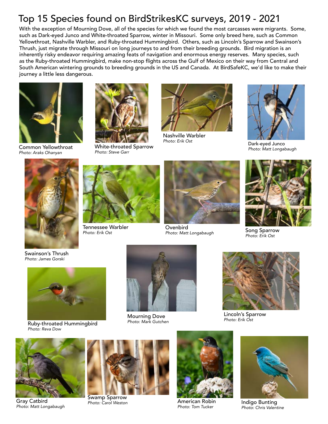## Top 15 Species found on BirdStrikesKC surveys, 2019 - 2021

With the exception of Mourning Dove, all of the species for which we found the most carcasses were migrants. Some, such as Dark-eyed Junco and White-throated Sparrow, winter in Missouri. Some only breed here, such as Common Yellowthroat, Nashville Warbler, and Ruby-throated Hummingbird. Others, such as Lincoln's Sparrow and Swainson's Thrush, just migrate through Missouri on long journeys to and from their breeding grounds. Bird migration is an inherently risky endeavor requiring amazing feats of navigation and enormous energy reserves. Many species, such as the Ruby-throated Hummingbird, make non-stop flights across the Gulf of Mexico on their way from Central and South American wintering grounds to breeding grounds in the US and Canada. At BirdSafeKC, we'd like to make their journey a little less dangerous.



Common Yellowthroat *Photo: Araks Ohanyan*



White-throated Sparrow *Photo: Steve Garr*



Nashville Warbler<br>Photo: Erik Ost



*Park-eyed Junco Photo: Matt Longabaugh*





Tennessee Warbler *Photo: Erik Ost*



**Ovenbird** *Photo: Matt Longabaugh*



Song Sparrow *Photo: Erik Ost*

Swainson's Thrush *Photo: James Gorski*



*Photo: Mark Gutchen* Ruby-throated Hummingbird *Photo: Reva Dow*



**Mourning Dove**<br>*Photo: Mark Gutchen* 



Lincoln's Sparrow *Photo: Erik Ost*



Gray Catbird *Photo: Matt Longabaugh*



Swamp Sparrow



**Photo: Carol Weston Communist Communist Communist Photo: Carol Weston Communist Communist Communist Communist Communist Communist Communist Communist Communist Communist Communist Communist Communist Communist Communist C** *Photo: Tom Tucker* 



Indigo Bunting *Photo: Chris Valentine*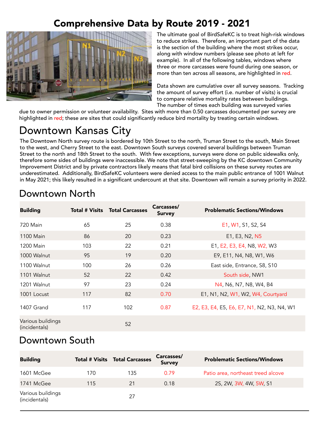## Comprehensive Data by Route 2019 - 2021



The ultimate goal of BirdSafeKC is to treat high-risk windows to reduce strikes. Therefore, an important part of the data is the section of the building where the most strikes occur, along with window numbers (please see photo at left for example). In all of the following tables, windows where three or more carcasses were found during one season, or more than ten across all seasons, are highlighted in red.

Data shown are cumulative over all survey seasons. Tracking the amount of survey effort (i.e. number of visits) is crucial to compare relative mortality rates between buildings. The number of times each building was surveyed varies

due to owner permission or volunteer availability. Sites with more than 0.50 carcasses documented per survey are highlighted in red; these are sites that could significantly reduce bird mortality by treating certain windows.

# Downtown Kansas City

The Downtown North survey route is bordered by 10th Street to the north, Truman Street to the south, Main Street to the west, and Cherry Street to the east. Downtown South surveys covered several buildings between Truman Street to the north and 18th Street to the south. With few exceptions, surveys were done on public sidewalks only, therefore some sides of buildings were inaccessible. We note that street-sweeping by the KC downtown Community Improvement District and by private contractors likely means that fatal bird collisions on these survey routes are underestimated. Additionally, BirdSafeKC volunteers were denied access to the main public entrance of 1001 Walnut in May 2021; this likely resulted in a significant undercount at that site. Downtown will remain a survey priority in 2022.

| <b>Building</b>                    | <b>Total # Visits</b> | <b>Total Carcasses</b> | Carcasses/<br><b>Survey</b> | <b>Problematic Sections/Windows</b>        |
|------------------------------------|-----------------------|------------------------|-----------------------------|--------------------------------------------|
| 720 Main                           | 65                    | 25                     | 0.38                        | E1, W1, S1, S2, S4                         |
| 1100 Main                          | 86                    | 20                     | 0.23                        | E1, E3, N2, N5                             |
| 1200 Main                          | 103                   | 22                     | 0.21                        | E1, E2, E3, E4, N8, W2, W3                 |
| 1000 Walnut                        | 95                    | 19                     | 0.20                        | E9, E11, N4, N8, W1, W6                    |
| 1100 Walnut                        | 100                   | 26                     | 0.26                        | East side, Entrance, S8, S10               |
| 1101 Walnut                        | 52                    | 22                     | 0.42                        | South side, NW1                            |
| 1201 Walnut                        | 97                    | 23                     | 0.24                        | N4, N6, N7, N8, W4, B4                     |
| 1001 Locust                        | 117                   | 82                     | 0.70                        | E1, N1, N2, W1, W2, W4, Courtyard          |
| 1407 Grand                         | 117                   | 102                    | 0.87                        | E2, E3, E4, E5, E6, E7, N1, N2, N3, N4, W1 |
| Various buildings<br>(incidentals) |                       | 52                     |                             |                                            |

### Downtown North

### Downtown South

| <b>Building</b>                    |     | <b>Total # Visits  Total Carcasses</b> | Carcasses/<br><b>Survey</b> | <b>Problematic Sections/Windows</b> |
|------------------------------------|-----|----------------------------------------|-----------------------------|-------------------------------------|
| 1601 McGee                         | 170 | 135                                    | 0.79                        | Patio area, northeast treed alcove  |
| 1741 McGee                         | 115 | 21                                     | 0.18                        | 2S, 2W, 3W, 4W, 5W, S1              |
| Various buildings<br>(incidentals) |     | 27                                     |                             |                                     |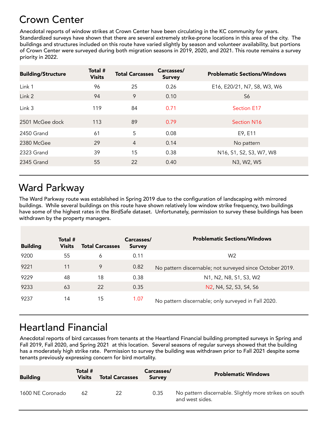## Crown Center

Anecdotal reports of window strikes at Crown Center have been circulating in the KC community for years. Standardized surveys have shown that there are several extremely strike-prone locations in this area of the city. The buildings and structures included on this route have varied slightly by season and volunteer availability, but portions of Crown Center were surveyed during both migration seasons in 2019, 2020, and 2021. This route remains a survey priority in 2022.

| <b>Building/Structure</b> | Total #<br><b>Visits</b> | <b>Total Carcasses</b> | Carcasses/<br><b>Survey</b> | <b>Problematic Sections/Windows</b> |
|---------------------------|--------------------------|------------------------|-----------------------------|-------------------------------------|
| Link 1                    | 96                       | 25                     | 0.26                        | E16, E20/21, N7, S8, W3, W6         |
| Link 2                    | 94                       | 9                      | 0.10                        | S6                                  |
| Link 3                    | 119                      | 84                     | 0.71                        | <b>Section E17</b>                  |
| 2501 McGee dock           | 113                      | 89                     | 0.79                        | Section N <sub>16</sub>             |
| 2450 Grand                | 61                       | 5                      | 0.08                        | E9, E11                             |
| 2380 McGee                | 29                       | $\overline{4}$         | 0.14                        | No pattern                          |
| 2323 Grand                | 39                       | 15                     | 0.38                        | N16, S1, S2, S3, W7, W8             |
| 2345 Grand                | 55                       | 22                     | 0.40                        | N3, W2, W5                          |
|                           |                          |                        |                             |                                     |

# Ward Parkway

The Ward Parkway route was established in Spring 2019 due to the configuration of landscaping with mirrored buildings. While several buildings on this route have shown relatively low window strike frequency, two buildings have some of the highest rates in the BirdSafe dataset. Unfortunately, permission to survey these buildings has been withdrawn by the property managers.

| <b>Building</b> | Total #<br><b>Visits</b> | <b>Total Carcasses</b> | Carcasses/<br><b>Survey</b> | <b>Problematic Sections/Windows</b>                                                                 |
|-----------------|--------------------------|------------------------|-----------------------------|-----------------------------------------------------------------------------------------------------|
| 9200            | 55                       | 6                      | 0.11                        | W <sub>2</sub>                                                                                      |
| 9221            | 11                       | 9                      | 0.82                        | No pattern discernable; not surveyed since October 2019.                                            |
| 9229            | 48                       | 18                     | 0.38                        | N <sub>1</sub> , N <sub>2</sub> , N <sub>8</sub> , S <sub>1</sub> , S <sub>3</sub> , W <sub>2</sub> |
| 9233            | 63                       | 22                     | 0.35                        | N2, N4, S2, S3, S4, S6                                                                              |
| 9237            | 14                       | 15                     | 1.07                        | No pattern discernable; only surveyed in Fall 2020.                                                 |

## Heartland Financial

Anecdotal reports of bird carcasses from tenants at the Heartland Financial building prompted surveys in Spring and Fall 2019, Fall 2020, and Spring 2021 at this location. Several seasons of regular surveys showed that the building has a moderately high strike rate. Permission to survey the building was withdrawn prior to Fall 2021 despite some tenants previously expressing concern for bird mortality.

| <b>Building</b>  | Total #<br>Visits | <b>Total Carcasses</b> | Carcasses/<br><b>Survey</b> | <b>Problematic Windows</b>                                                |
|------------------|-------------------|------------------------|-----------------------------|---------------------------------------------------------------------------|
| 1600 NE Coronado | 62                | 22                     | 0.35                        | No pattern discernable. Slightly more strikes on south<br>and west sides. |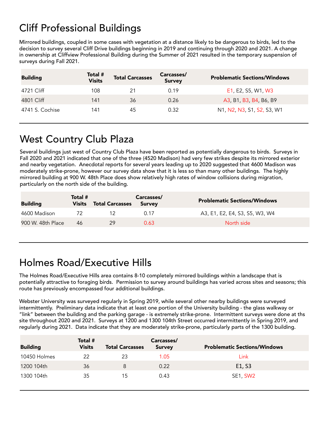# Cliff Professional Buildings

Mirrored buildings, coupled in some cases with vegetation at a distance likely to be dangerous to birds, led to the decision to survey several Cliff Drive buildings beginning in 2019 and continuing through 2020 and 2021. A change in ownership at Cliffview Professional Building during the Summer of 2021 resulted in the temporary suspension of surveys during Fall 2021.

| <b>Building</b> | Total #<br><b>Visits</b> | <b>Total Carcasses</b> | Carcasses/<br><b>Survey</b> | <b>Problematic Sections/Windows</b> |
|-----------------|--------------------------|------------------------|-----------------------------|-------------------------------------|
| 4721 Cliff      | 108                      | 21                     | 0.19                        | E1, E2, S5, W1, W3                  |
| 4801 Cliff      | 141                      | 36                     | 0.26                        | A3, B1, B3, B4, B6, B9              |
| 4741 S. Cochise | 141                      | 45                     | 0.32                        | N1, N2, N3, S1, S2, S3, W1          |

# West Country Club Plaza

Several buildings just west of Country Club Plaza have been reported as potentially dangerous to birds. Surveys in Fall 2020 and 2021 indicated that one of the three (4520 Madison) had very few strikes despite its mirrored exterior and nearby vegetation. Anecdotal reports for several years leading up to 2020 suggested that 4600 Madison was moderately strike-prone, however our survey data show that it is less so than many other buildings. The highly mirrored building at 900 W. 48th Place does show relatively high rates of window collisions during migration, particularly on the north side of the building.

| <b>Building</b>   | Total #<br>Visits | <b>Total Carcasses</b> | Carcasses/<br><b>Survey</b> | <b>Problematic Sections/Windows</b> |
|-------------------|-------------------|------------------------|-----------------------------|-------------------------------------|
| 4600 Madison      |                   |                        | 0.17                        | A3, E1, E2, E4, S3, S5, W3, W4      |
| 900 W. 48th Place | 46                | 29                     | 0.63                        | North side                          |

# Holmes Road/Executive Hills

The Holmes Road/Executive Hills area contains 8-10 completely mirrored buildings within a landscape that is potentially attractive to foraging birds. Permission to survey around buildings has varied across sites and seasons; this route has previously encompassed four additional buildings.

Webster University was surveyed regularly in Spring 2019, while several other nearby buildings were surveyed intermittently. Preliminary data indicate that at least one portion of the University building - the glass walkway or "link" between the building and the parking garage - is extremely strike-prone. Intermittent surveys were done at ths site throughout 2020 and 2021. Surveys at 1200 and 1300 104th Street occurred intermittently in Spring 2019, and regularly during 2021. Data indicate that they are moderately strike-prone, particularly parts of the 1300 building.

| <b>Building</b> | Total #<br><b>Visits</b> | <b>Total Carcasses</b> | Carcasses/<br><b>Survey</b> | <b>Problematic Sections/Windows</b> |
|-----------------|--------------------------|------------------------|-----------------------------|-------------------------------------|
| 10450 Holmes    | 22                       | 23                     | 1.05                        | Link                                |
| 1200 104th      | 36                       | 8                      | 0.22                        | E <sub>1</sub> , S <sub>3</sub>     |
| 1300 104th      | 35                       | 15                     | 0.43                        | SE1, SW2                            |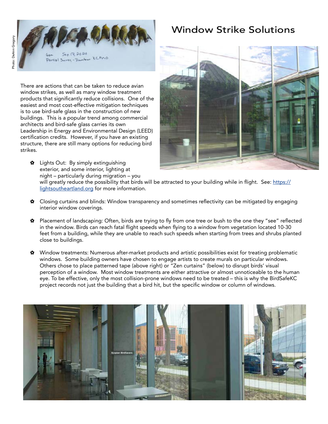

Partial Juriey - Dansbur KCMO

There are actions that can be taken to reduce avian window strikes, as well as many window treatment products that significantly reduce collisions. One of the easiest and most cost-effective mitigation techniques is to use bird-safe glass in the construction of new buildings. This is a popular trend among commercial architects and bird-safe glass carries its own Leadership in Energy and Environmental Design (LEED) certification credits. However, if you have an existing structure, there are still many options for reducing bird strikes.

✿ Lights Out: By simply extinguishing exterior, and some interior, lighting at night – particularly during migration – you

### Window Strike Solutions



will greatly reduce the possibility that birds will be attracted to your building while in flight. See: [https://](https://lightsoutheartland.org) [lightsoutheartland.org](https://lightsoutheartland.org) for more information.

- ✿ Closing curtains and blinds: Window transparency and sometimes reflectivity can be mitigated by engaging interior window coverings.
- ✿ Placement of landscaping: Often, birds are trying to fly from one tree or bush to the one they "see" reflected in the window. Birds can reach fatal flight speeds when flying to a window from vegetation located 10-30 feet from a building, while they are unable to reach such speeds when starting from trees and shrubs planted close to buildings.
- ✿ Window treatments: Numerous after-market products and artistic possibilities exist for treating problematic windows. Some building owners have chosen to engage artists to create murals on particular windows. Others chose to place patterned tape (above right) or "Zen curtains" (below) to disrupt birds' visual perception of a window. Most window treatments are either attractive or almost unnoticeable to the human eye. To be effective, only the most collision-prone windows need to be treated – this is why the BirdSafeKC project records not just the building that a bird hit, but the specific window or column of windows.

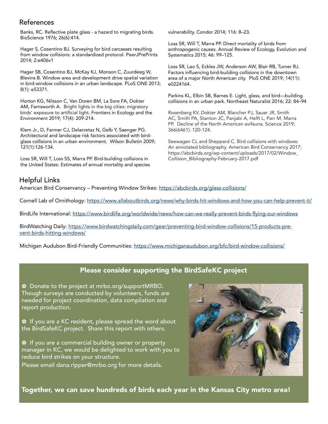#### References

Banks, RC. Reflective plate glass - a hazard to migrating birds. BioScience 1976; 26(6):414.

Hager S, Cosentino BJ. Surveying for bird carcasses resulting from window collisions: a standardized protocol. PeerJPrePrints 2014; 2:e406v1

Hager SB, Cosentino BJ, McKay KJ, Monson C, Zuurdeeg W, Blevins B. Window area and development drive spatial variation in bird-window collisions in an urban landscape. PLoS ONE 2013; 8(1): e53371.

Horton KG, Nilsson C, Van Doren BM, La Sore FA, Dokter AM, Farnsworth A. Bright lights in the big cities: migratory birds' exposure to artificial light. Frontiers in Ecology and the Environment 2019; 17(4): 209-214.

Klem Jr., D, Farmer CJ, Delacretaz N, Gelb Y, Saenger PG. Architectural and landscape risk factors associated with birdglass collisions in an urban environment. Wilson Bulletin 2009; 121(1):126-134.

Loss SR, Will T, Loss SS, Marra PP. Bird-building collisions in the United States: Estimates of annual mortality and species vulnerability. Condor 2014; 116: 8–23.

Loss SR, Will T, Marra PP. Direct mortality of birds from anthropogenic causes. Annual Review of Ecology, Evolution and Systematics 2015; 46: 99–125.

Loss SR, Lao S, Eckles JW, Anderson AW, Blair RB, Turner RJ. Factors influencing bird-building collisions in the downtown area of a major North American city. PloS ONE 2019; 14(11): e0224164.

Parkins KL, Elbin SB, Barnes E. Light, glass, and bird—building collisions in an urban park. Northeast Naturalist 2016; 22: 84–94

Rosenberg KV, Dokter AM, Blancher PJ, Sauer JR, Smith AC, Smith PA, Stanton JC, Panjabi A, Helft L, Parr M, Marra PP. Decline of the North American avifauna. Science 2019; 366(6461): 120-124.

Seewagen CL and Sheppard C. Bird collisions with windows: An annotated bibliography. American Bird Conservancy 2017; https://abcbirds.org/wp-content/uploads/2017/02/Window\_ Collision\_Bibliography-February-2017.pdf

#### Helpful Links

American Bird Conservancy - Preventing Window Strikes:<https://abcbirds.org/glass-collisions/>

Cornell Lab of Ornithology: <https://www.allaboutbirds.org/news/why-birds-hit-windows-and-how-you-can-help-prevent-it/>

BirdLife International: <https://www.birdlife.org/worldwide/news/how-can-we-really-prevent-birds-flying-our-windows>

BirdWatching Daily: [https://www.birdwatchingdaily.com/gear/preventing-bird-window-collisions/15-products-pre](https://www.birdwatchingdaily.com/gear/preventing-bird-window-collisions/15-products-prevent-birds-hitting-windows/)[vent-birds-hitting-windows/](https://www.birdwatchingdaily.com/gear/preventing-bird-window-collisions/15-products-prevent-birds-hitting-windows/)

Michigan Audubon Bird-Friendly Communities:<https://www.michiganaudubon.org/bfc/bird-window-collisions/>

#### Please consider supporting the BirdSafeKC project

✿ Donate to the project at mrbo.org/supportMRBO. Though surveys are conducted by volunteers, funds are needed for project coordination, data compilation and report production.

✿ If you are a KC resident, please spread the word about the BirdSafeKC project. Share this report with others.

✿ If you are a commercial building owner or property manager in KC, we would be delighted to work with you to reduce bird strikes on your structure.

Please email dana.ripper@mrbo.org for more details.



Together, we can save hundreds of birds each year in the Kansas City metro area!